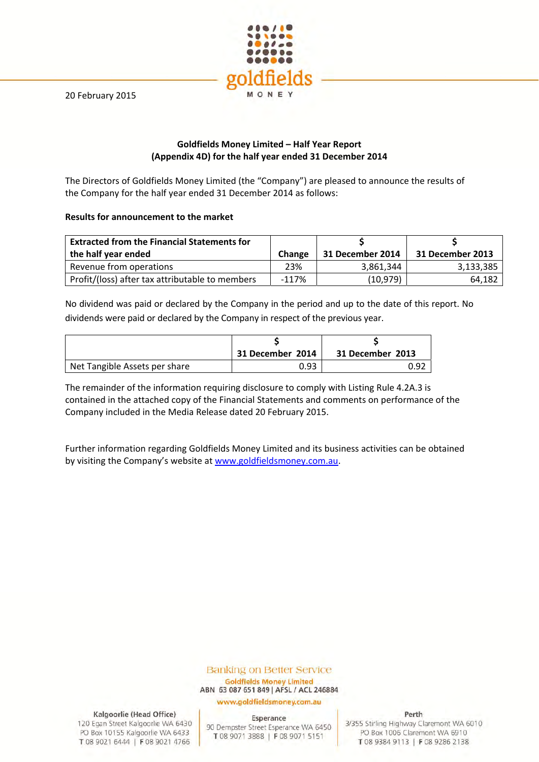20 February 2015



# **Goldfields Money Limited – Half Year Report (Appendix 4D) for the half year ended 31 December 2014**

The Directors of Goldfields Money Limited (the "Company") are pleased to announce the results of the Company for the half year ended 31 December 2014 as follows:

# **Results for announcement to the market**

| <b>Extracted from the Financial Statements for</b><br>the half year ended | <b>Change</b> | 31 December 2014 | 31 December 2013 |
|---------------------------------------------------------------------------|---------------|------------------|------------------|
| Revenue from operations                                                   | 23%           | 3.861.344        | 3,133,385        |
| Profit/(loss) after tax attributable to members                           | $-117%$       | (10, 979)        | 64,182           |

No dividend was paid or declared by the Company in the period and up to the date of this report. No dividends were paid or declared by the Company in respect of the previous year.

|                               | 31 December 2014 | 31 December 2013 |
|-------------------------------|------------------|------------------|
| Net Tangible Assets per share | 0.93             | 0.92             |

The remainder of the information requiring disclosure to comply with Listing Rule 4.2A.3 is contained in the attached copy of the Financial Statements and comments on performance of the Company included in the Media Release dated 20 February 2015.

Further information regarding Goldfields Money Limited and its business activities can be obtained by visiting the Company's website at www.goldfieldsmoney.com.au.

## **Banking on Better Service Goldfields Money Limited** ABN 63 087 651 849 | AFSL / ACL 246884

www.goldfieldsmoney.com.au

Kalgoorlie (Head Office)

120 Egan Street Kalgoorlie WA 6430 PO Box 10155 Kalgoorlie WA 6433 T 08 9021 6444 | F 08 9021 4766

Esperance 90 Dempster Street Esperance WA 6450 T 08 9071 3888 | F 08 9071 5151

Perth

3/355 Stirling Highway Claremont WA 6010 PO Box 1006 Claremont WA 6910 T08 9384 9113 | F08 9286 2138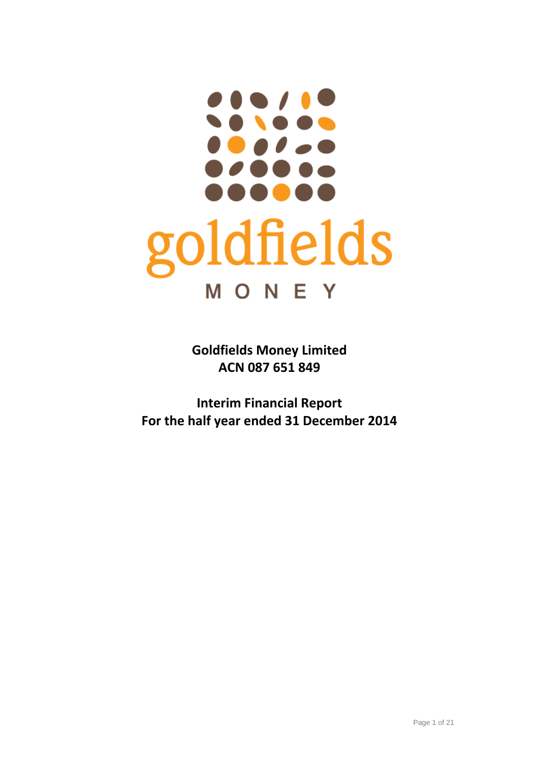# **. . . .** goldfields MONEY

**Goldfields Money Limited ACN 087 651 849**

**Interim Financial Report For the half year ended 31 December 2014**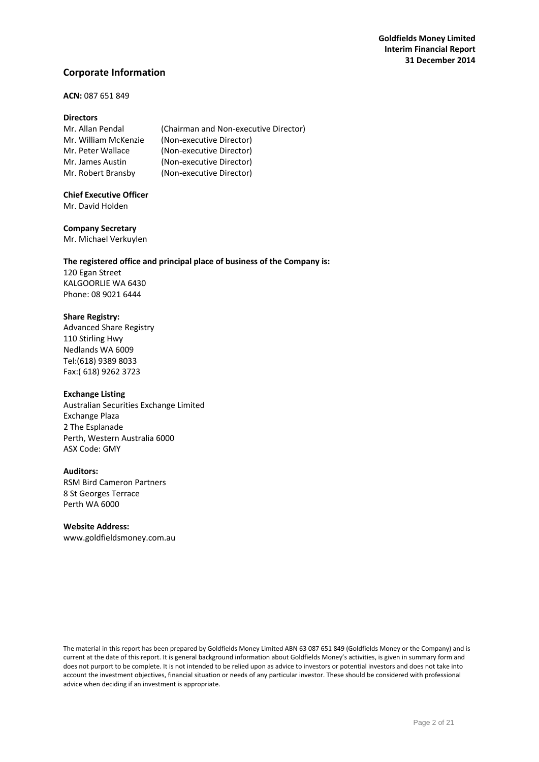# **Corporate Information**

## **ACN:** 087 651 849

## **Directors**

| Mr. Allan Pendal     | (Chairman and Non-executive Director) |
|----------------------|---------------------------------------|
| Mr. William McKenzie | (Non-executive Director)              |
| Mr. Peter Wallace    | (Non-executive Director)              |
| Mr. James Austin     | (Non-executive Director)              |
| Mr. Robert Bransby   | (Non-executive Director)              |

# **Chief Executive Officer**

Mr. David Holden

## **Company Secretary**

Mr. Michael Verkuylen

# **The registered office and principal place of business of the Company is:**

120 Egan Street KALGOORLIE WA 6430 Phone: 08 9021 6444

## **Share Registry:**

Advanced Share Registry 110 Stirling Hwy Nedlands WA 6009 Tel:(618) 9389 8033 Fax:( 618) 9262 3723

## **Exchange Listing**

Australian Securities Exchange Limited Exchange Plaza 2 The Esplanade Perth, Western Australia 6000 ASX Code: GMY

## **Auditors:**

RSM Bird Cameron Partners 8 St Georges Terrace Perth WA 6000

## **Website Address:**

www.goldfieldsmoney.com.au

The material in this report has been prepared by Goldfields Money Limited ABN 63 087 651 849 (Goldfields Money or the Company) and is current at the date of this report. It is general background information about Goldfields Money's activities, is given in summary form and does not purport to be complete. It is not intended to be relied upon as advice to investors or potential investors and does not take into account the investment objectives, financial situation or needs of any particular investor. These should be considered with professional advice when deciding if an investment is appropriate.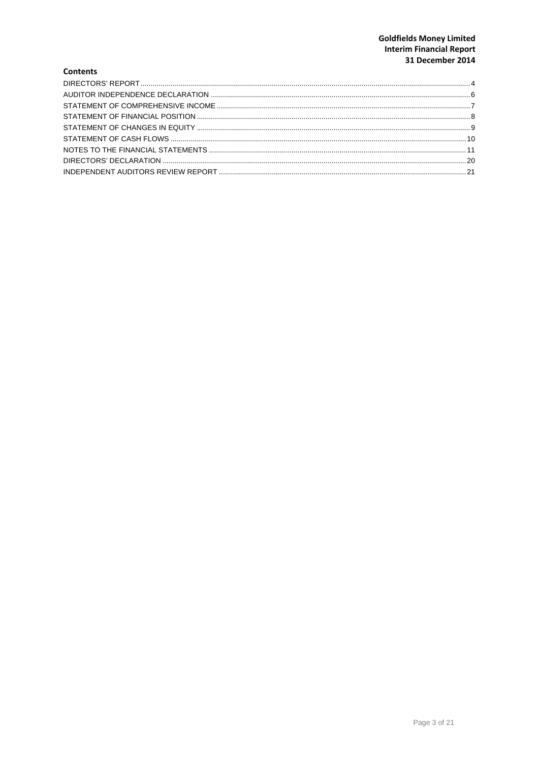## **Goldfields Money Limited** Interim Financial Report 31 December 2014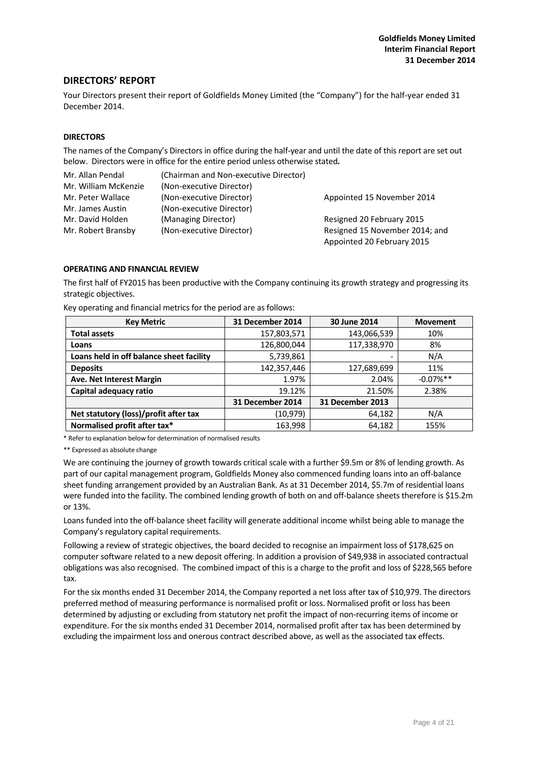## **DIRECTORS' REPORT**

Your Directors present their report of Goldfields Money Limited (the "Company") for the half‐year ended 31 December 2014.

## **DIRECTORS**

The names of the Company's Directors in office during the half-year and until the date of this report are set out below. Directors were in office for the entire period unless otherwise stated*.*

| Mr. Allan Pendal     | (Chairman and Non-executive Director) |                                |
|----------------------|---------------------------------------|--------------------------------|
| Mr. William McKenzie | (Non-executive Director)              |                                |
| Mr. Peter Wallace    | (Non-executive Director)              | Appointed 15 November 2014     |
| Mr. James Austin     | (Non-executive Director)              |                                |
| Mr. David Holden     | (Managing Director)                   | Resigned 20 February 2015      |
| Mr. Robert Bransby   | (Non-executive Director)              | Resigned 15 November 2014; and |
|                      |                                       | Appointed 20 February 2015     |

#### **OPERATING AND FINANCIAL REVIEW**

The first half of FY2015 has been productive with the Company continuing its growth strategy and progressing its strategic objectives.

| <b>Key Metric</b>                        | 31 December 2014 | 30 June 2014     | <b>Movement</b> |
|------------------------------------------|------------------|------------------|-----------------|
| <b>Total assets</b>                      | 157,803,571      | 143,066,539      | 10%             |
| Loans                                    | 126,800,044      | 117,338,970      | 8%              |
| Loans held in off balance sheet facility | 5,739,861        | -                | N/A             |
| <b>Deposits</b>                          | 142,357,446      | 127,689,699      | 11%             |
| Ave. Net Interest Margin                 | 1.97%            | 2.04%            | $-0.07\%$ **    |
| Capital adequacy ratio                   | 19.12%           | 21.50%           | 2.38%           |
|                                          | 31 December 2014 | 31 December 2013 |                 |
| Net statutory (loss)/profit after tax    | (10,979)         | 64,182           | N/A             |
| Normalised profit after tax*             | 163,998          | 64,182           | 155%            |

Key operating and financial metrics for the period are as follows:

\* Refer to explanation below for determination of normalised results

\*\* Expressed as absolute change

We are continuing the journey of growth towards critical scale with a further \$9.5m or 8% of lending growth. As part of our capital management program, Goldfields Money also commenced funding loans into an off‐balance sheet funding arrangement provided by an Australian Bank. As at 31 December 2014, \$5.7m of residential loans were funded into the facility. The combined lending growth of both on and off-balance sheets therefore is \$15.2m or 13%.

Loans funded into the off‐balance sheet facility will generate additional income whilst being able to manage the Company's regulatory capital requirements.

Following a review of strategic objectives, the board decided to recognise an impairment loss of \$178,625 on computer software related to a new deposit offering. In addition a provision of \$49,938 in associated contractual obligations was also recognised. The combined impact of this is a charge to the profit and loss of \$228,565 before tax.

For the six months ended 31 December 2014, the Company reported a net loss after tax of \$10,979. The directors preferred method of measuring performance is normalised profit or loss. Normalised profit or loss has been determined by adjusting or excluding from statutory net profit the impact of non‐recurring items of income or expenditure. For the six months ended 31 December 2014, normalised profit after tax has been determined by excluding the impairment loss and onerous contract described above, as well as the associated tax effects.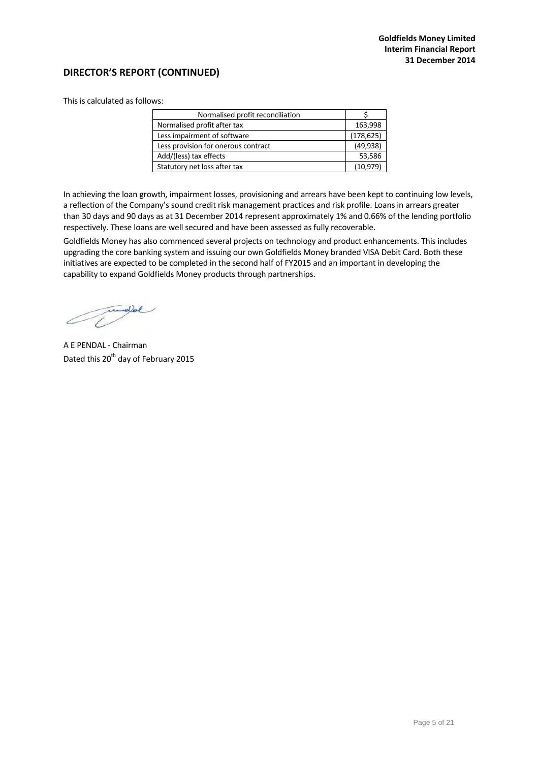# **DIRECTOR'S REPORT (CONTINUED)**

This is calculated as follows:

| Normalised profit reconciliation    |            |
|-------------------------------------|------------|
| Normalised profit after tax         | 163,998    |
| Less impairment of software         | (178, 625) |
| Less provision for onerous contract | (49, 938)  |
| Add/(less) tax effects              | 53,586     |
| Statutory net loss after tax        | (10, 979)  |

In achieving the loan growth, impairment losses, provisioning and arrears have been kept to continuing low levels, a reflection of the Company's sound credit risk management practices and risk profile. Loans in arrears greater than 30 days and 90 days as at 31 December 2014 represent approximately 1% and 0.66% of the lending portfolio respectively. These loans are well secured and have been assessed as fully recoverable.

Goldfields Money has also commenced several projects on technology and product enhancements. This includes upgrading the core banking system and issuing our own Goldfields Money branded VISA Debit Card. Both these initiatives are expected to be completed in the second half of FY2015 and an important in developing the capability to expand Goldfields Money products through partnerships.

Compel

A E PENDAL ‐ Chairman Dated this 20<sup>th</sup> day of February 2015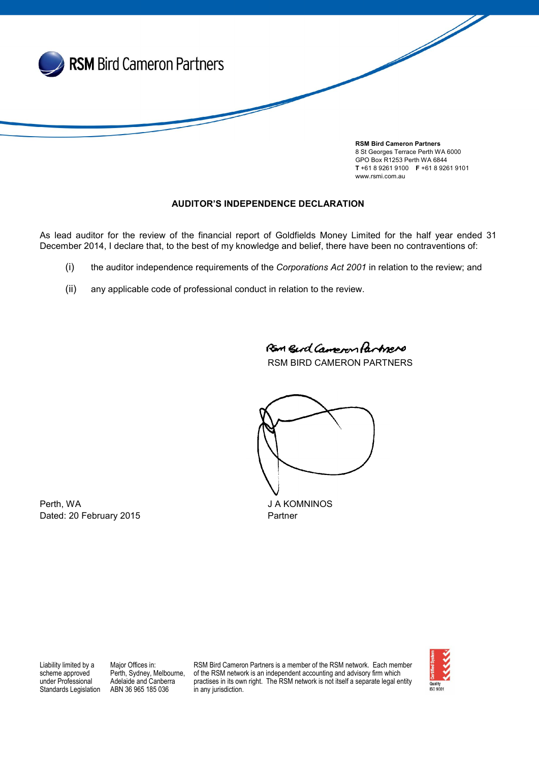

GPO Box R1253 Perth WA 6844 T +61 8 9261 9100 F +61 8 9261 9101 www.rsmi.com.au

# AUDITOR'S INDEPENDENCE DECLARATION

As lead auditor for the review of the financial report of Goldfields Money Limited for the half year ended 31 December 2014, I declare that, to the best of my knowledge and belief, there have been no contraventions of:

- (i) the auditor independence requirements of the *Corporations Act 2001* in relation to the review; and
- (ii) any applicable code of professional conduct in relation to the review.

Ran Burd Campoon Partners

RSM BIRD CAMERON PARTNERS

Perth, WA JA KOMNINOS

Dated: 20 February 2015 **Partner** 

Liability limited by a scheme approved under Professional Standards Legislation

Major Offices in: Perth, Sydney, Melbourne, Adelaide and Canberra ABN 36 965 185 036

RSM Bird Cameron Partners is a member of the RSM network. Each member of the RSM network is an independent accounting and advisory firm which practises in its own right. The RSM network is not itself a separate legal entity in any jurisdiction.

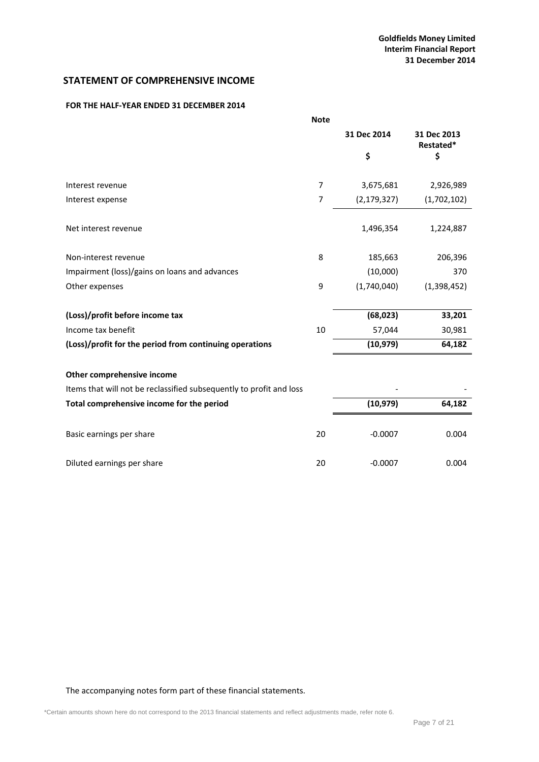# **STATEMENT OF COMPREHENSIVE INCOME**

## **FOR THE HALF‐YEAR ENDED 31 DECEMBER 2014**

|                                                                     | <b>Note</b> |               |                          |
|---------------------------------------------------------------------|-------------|---------------|--------------------------|
|                                                                     |             | 31 Dec 2014   | 31 Dec 2013<br>Restated* |
|                                                                     |             | \$            | \$                       |
| Interest revenue                                                    | 7           | 3,675,681     | 2,926,989                |
| Interest expense                                                    | 7           | (2, 179, 327) | (1,702,102)              |
| Net interest revenue                                                |             | 1,496,354     | 1,224,887                |
| Non-interest revenue                                                | 8           | 185,663       | 206,396                  |
| Impairment (loss)/gains on loans and advances                       |             | (10,000)      | 370                      |
| Other expenses                                                      | 9           | (1,740,040)   | (1,398,452)              |
| (Loss)/profit before income tax                                     |             | (68, 023)     | 33,201                   |
| Income tax benefit                                                  | 10          | 57,044        | 30,981                   |
| (Loss)/profit for the period from continuing operations             |             | (10, 979)     | 64,182                   |
| Other comprehensive income                                          |             |               |                          |
| Items that will not be reclassified subsequently to profit and loss |             |               |                          |
| Total comprehensive income for the period                           |             | (10, 979)     | 64,182                   |
| Basic earnings per share                                            | 20          | $-0.0007$     | 0.004                    |

Diluted earnings per share 20 and 20 control of the 20 control of the 20 control of the 20 control of the 20 control of the 20 control of the 20 control of the 20 control of the 20 control of the 20 control of the 20 contr

The accompanying notes form part of these financial statements.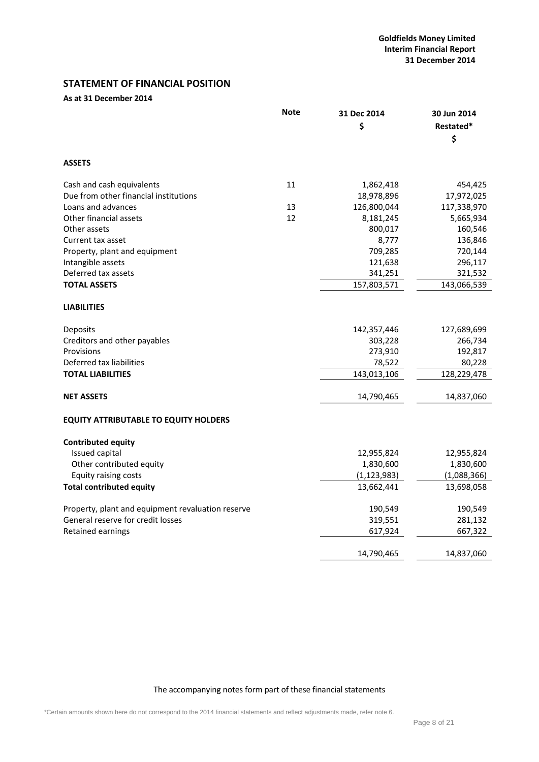# **STATEMENT OF FINANCIAL POSITION**

# **As at 31 December 2014**

|                                                   | <b>Note</b> | 31 Dec 2014<br>\$ | 30 Jun 2014<br>Restated*<br>\$ |
|---------------------------------------------------|-------------|-------------------|--------------------------------|
| <b>ASSETS</b>                                     |             |                   |                                |
| Cash and cash equivalents                         | 11          | 1,862,418         | 454,425                        |
| Due from other financial institutions             |             | 18,978,896        | 17,972,025                     |
| Loans and advances                                | 13          | 126,800,044       | 117,338,970                    |
| Other financial assets                            | 12          | 8,181,245         | 5,665,934                      |
| Other assets                                      |             | 800,017           | 160,546                        |
| Current tax asset                                 |             | 8,777             | 136,846                        |
| Property, plant and equipment                     |             | 709,285           | 720,144                        |
| Intangible assets                                 |             | 121,638           | 296,117                        |
| Deferred tax assets                               |             | 341,251           | 321,532                        |
| <b>TOTAL ASSETS</b>                               |             | 157,803,571       | 143,066,539                    |
| <b>LIABILITIES</b>                                |             |                   |                                |
| Deposits                                          |             | 142,357,446       | 127,689,699                    |
| Creditors and other payables                      |             | 303,228           | 266,734                        |
| Provisions                                        |             | 273,910           | 192,817                        |
| Deferred tax liabilities                          |             | 78,522            | 80,228                         |
| <b>TOTAL LIABILITIES</b>                          |             | 143,013,106       | 128,229,478                    |
| <b>NET ASSETS</b>                                 |             | 14,790,465        | 14,837,060                     |
| <b>EQUITY ATTRIBUTABLE TO EQUITY HOLDERS</b>      |             |                   |                                |
| <b>Contributed equity</b>                         |             |                   |                                |
| Issued capital                                    |             | 12,955,824        | 12,955,824                     |
| Other contributed equity                          |             | 1,830,600         | 1,830,600                      |
| Equity raising costs                              |             | (1, 123, 983)     | (1,088,366)                    |
| <b>Total contributed equity</b>                   |             | 13,662,441        | 13,698,058                     |
| Property, plant and equipment revaluation reserve |             | 190,549           | 190,549                        |
| General reserve for credit losses                 |             | 319,551           | 281,132                        |
| Retained earnings                                 |             | 617,924           | 667,322                        |
|                                                   |             | 14,790,465        | 14,837,060                     |

The accompanying notes form part of these financial statements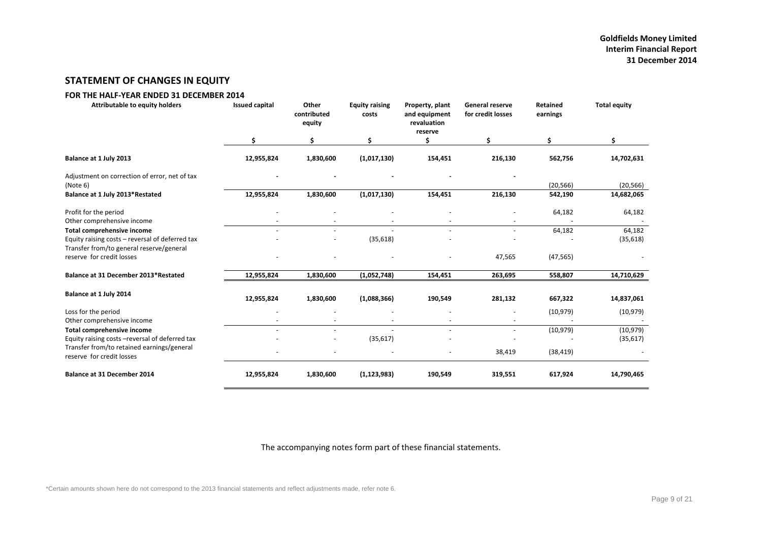# **STATEMENT OF CHANGES IN EQUITY**

## **FOR THE HALF‐YEAR ENDED 31 DECEMBER 2014**

| <b>Attributable to equity holders</b>                                         | <b>Issued capital</b> | Other<br>contributed<br>equity | <b>Equity raising</b><br>costs | Property, plant<br>and equipment<br>revaluation<br>reserve | <b>General reserve</b><br>for credit losses | <b>Retained</b><br>earnings | <b>Total equity</b>    |
|-------------------------------------------------------------------------------|-----------------------|--------------------------------|--------------------------------|------------------------------------------------------------|---------------------------------------------|-----------------------------|------------------------|
|                                                                               | \$                    | \$                             | \$                             | Ś                                                          | \$                                          | \$                          | \$                     |
| Balance at 1 July 2013                                                        | 12,955,824            | 1,830,600                      | (1,017,130)                    | 154,451                                                    | 216,130                                     | 562,756                     | 14,702,631             |
| Adjustment on correction of error, net of tax<br>(Note 6)                     |                       |                                |                                |                                                            |                                             | (20, 566)                   | (20, 566)              |
| Balance at 1 July 2013*Restated                                               | 12,955,824            | 1,830,600                      | (1,017,130)                    | 154,451                                                    | 216,130                                     | 542,190                     | 14,682,065             |
| Profit for the period<br>Other comprehensive income                           |                       |                                |                                |                                                            | $\blacksquare$                              | 64,182                      | 64,182                 |
| Total comprehensive income<br>Equity raising costs - reversal of deferred tax | ÷                     | $\overline{\phantom{a}}$       | (35, 618)                      | $\sim$                                                     | $\blacksquare$                              | 64,182                      | 64,182<br>(35, 618)    |
| Transfer from/to general reserve/general<br>reserve for credit losses         |                       |                                |                                |                                                            | 47,565                                      | (47, 565)                   |                        |
| Balance at 31 December 2013*Restated                                          | 12,955,824            | 1,830,600                      | (1,052,748)                    | 154,451                                                    | 263,695                                     | 558,807                     | 14,710,629             |
| Balance at 1 July 2014                                                        | 12,955,824            | 1,830,600                      | (1,088,366)                    | 190,549                                                    | 281,132                                     | 667,322                     | 14,837,061             |
| Loss for the period                                                           |                       |                                |                                |                                                            |                                             | (10, 979)                   | (10, 979)              |
| Other comprehensive income                                                    | $\sim$                |                                | $\sim$                         | $\sim$                                                     |                                             |                             |                        |
| Total comprehensive income<br>Equity raising costs - reversal of deferred tax |                       | $\sim$                         | (35, 617)                      |                                                            | $\overline{\phantom{a}}$                    | (10, 979)                   | (10, 979)<br>(35, 617) |
| Transfer from/to retained earnings/general<br>reserve for credit losses       |                       |                                |                                |                                                            | 38,419                                      | (38, 419)                   |                        |
| <b>Balance at 31 December 2014</b>                                            | 12,955,824            | 1,830,600                      | (1, 123, 983)                  | 190,549                                                    | 319,551                                     | 617,924                     | 14,790,465             |

The accompanying notes form part of these financial statements.

\*Certain amounts shown here do not correspond to the 2013 financial statements and reflect adjustments made, refer note 6.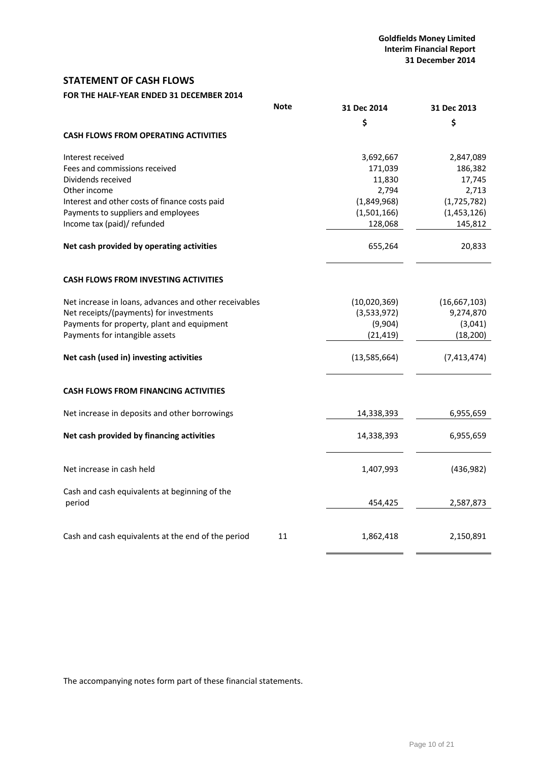# **STATEMENT OF CASH FLOWS**

# **FOR THE HALF‐YEAR ENDED 31 DECEMBER 2014**

|                                                         | <b>Note</b> | 31 Dec 2014    | 31 Dec 2013  |
|---------------------------------------------------------|-------------|----------------|--------------|
|                                                         |             | \$             | \$           |
| <b>CASH FLOWS FROM OPERATING ACTIVITIES</b>             |             |                |              |
| Interest received                                       |             | 3,692,667      | 2,847,089    |
| Fees and commissions received                           |             | 171,039        | 186,382      |
| Dividends received                                      |             | 11,830         | 17,745       |
| Other income                                            |             | 2,794          | 2,713        |
| Interest and other costs of finance costs paid          |             | (1,849,968)    | (1,725,782)  |
| Payments to suppliers and employees                     |             | (1,501,166)    | (1,453,126)  |
| Income tax (paid)/ refunded                             |             | 128,068        | 145,812      |
| Net cash provided by operating activities               |             | 655,264        | 20,833       |
| <b>CASH FLOWS FROM INVESTING ACTIVITIES</b>             |             |                |              |
| Net increase in loans, advances and other receivables   |             | (10,020,369)   | (16,667,103) |
| Net receipts/(payments) for investments                 |             | (3,533,972)    | 9,274,870    |
| Payments for property, plant and equipment              |             | (9,904)        | (3,041)      |
| Payments for intangible assets                          |             | (21, 419)      | (18, 200)    |
| Net cash (used in) investing activities                 |             | (13, 585, 664) | (7,413,474)  |
| <b>CASH FLOWS FROM FINANCING ACTIVITIES</b>             |             |                |              |
| Net increase in deposits and other borrowings           |             | 14,338,393     | 6,955,659    |
| Net cash provided by financing activities               |             | 14,338,393     | 6,955,659    |
| Net increase in cash held                               |             | 1,407,993      | (436,982)    |
| Cash and cash equivalents at beginning of the<br>period |             | 454,425        | 2,587,873    |
|                                                         |             |                |              |
| Cash and cash equivalents at the end of the period      | 11          | 1,862,418      | 2,150,891    |

The accompanying notes form part of these financial statements.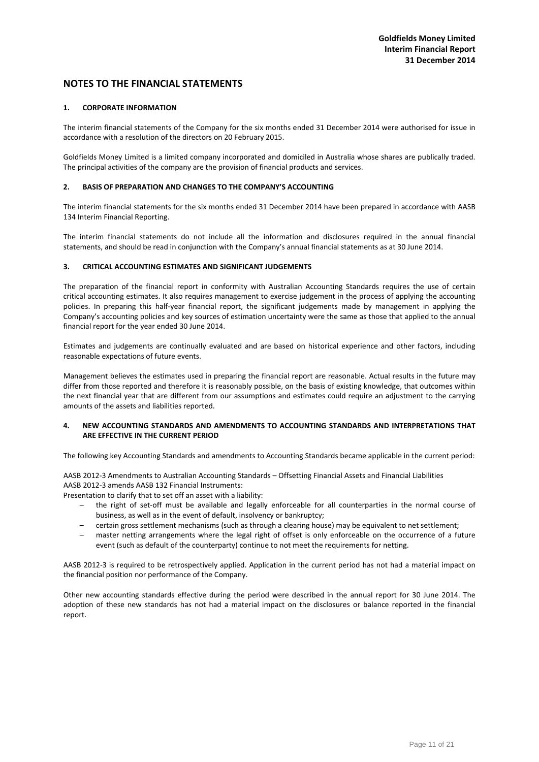#### **1. CORPORATE INFORMATION**

The interim financial statements of the Company for the six months ended 31 December 2014 were authorised for issue in accordance with a resolution of the directors on 20 February 2015.

Goldfields Money Limited is a limited company incorporated and domiciled in Australia whose shares are publically traded. The principal activities of the company are the provision of financial products and services.

## **2. BASIS OF PREPARATION AND CHANGES TO THE COMPANY'S ACCOUNTING**

The interim financial statements for the six months ended 31 December 2014 have been prepared in accordance with AASB 134 Interim Financial Reporting.

The interim financial statements do not include all the information and disclosures required in the annual financial statements, and should be read in conjunction with the Company's annual financial statements as at 30 June 2014.

## **3. CRITICAL ACCOUNTING ESTIMATES AND SIGNIFICANT JUDGEMENTS**

The preparation of the financial report in conformity with Australian Accounting Standards requires the use of certain critical accounting estimates. It also requires management to exercise judgement in the process of applying the accounting policies. In preparing this half-year financial report, the significant judgements made by management in applying the Company's accounting policies and key sources of estimation uncertainty were the same as those that applied to the annual financial report for the year ended 30 June 2014.

Estimates and judgements are continually evaluated and are based on historical experience and other factors, including reasonable expectations of future events.

Management believes the estimates used in preparing the financial report are reasonable. Actual results in the future may differ from those reported and therefore it is reasonably possible, on the basis of existing knowledge, that outcomes within the next financial year that are different from our assumptions and estimates could require an adjustment to the carrying amounts of the assets and liabilities reported.

## **4. NEW ACCOUNTING STANDARDS AND AMENDMENTS TO ACCOUNTING STANDARDS AND INTERPRETATIONS THAT ARE EFFECTIVE IN THE CURRENT PERIOD**

The following key Accounting Standards and amendments to Accounting Standards became applicable in the current period:

AASB 2012‐3 Amendments to Australian Accounting Standards – Offsetting Financial Assets and Financial Liabilities AASB 2012‐3 amends AASB 132 Financial Instruments:

Presentation to clarify that to set off an asset with a liability:

- the right of set‐off must be available and legally enforceable for all counterparties in the normal course of business, as well as in the event of default, insolvency or bankruptcy;
- certain gross settlement mechanisms (such as through a clearing house) may be equivalent to net settlement;
- master netting arrangements where the legal right of offset is only enforceable on the occurrence of a future event (such as default of the counterparty) continue to not meet the requirements for netting.

AASB 2012-3 is required to be retrospectively applied. Application in the current period has not had a material impact on the financial position nor performance of the Company.

Other new accounting standards effective during the period were described in the annual report for 30 June 2014. The adoption of these new standards has not had a material impact on the disclosures or balance reported in the financial report.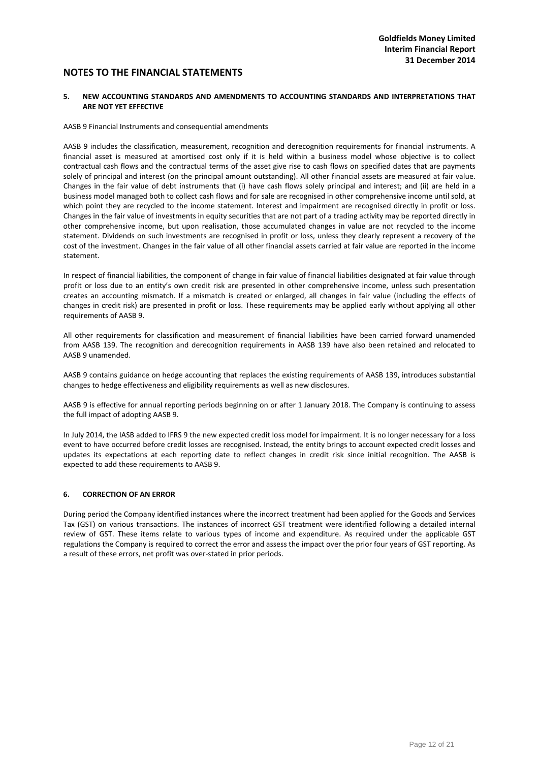#### **5. NEW ACCOUNTING STANDARDS AND AMENDMENTS TO ACCOUNTING STANDARDS AND INTERPRETATIONS THAT ARE NOT YET EFFECTIVE**

#### AASB 9 Financial Instruments and consequential amendments

AASB 9 includes the classification, measurement, recognition and derecognition requirements for financial instruments. A financial asset is measured at amortised cost only if it is held within a business model whose objective is to collect contractual cash flows and the contractual terms of the asset give rise to cash flows on specified dates that are payments solely of principal and interest (on the principal amount outstanding). All other financial assets are measured at fair value. Changes in the fair value of debt instruments that (i) have cash flows solely principal and interest; and (ii) are held in a business model managed both to collect cash flows and for sale are recognised in other comprehensive income until sold, at which point they are recycled to the income statement. Interest and impairment are recognised directly in profit or loss. Changes in the fair value of investments in equity securities that are not part of a trading activity may be reported directly in other comprehensive income, but upon realisation, those accumulated changes in value are not recycled to the income statement. Dividends on such investments are recognised in profit or loss, unless they clearly represent a recovery of the cost of the investment. Changes in the fair value of all other financial assets carried at fair value are reported in the income statement.

In respect of financial liabilities, the component of change in fair value of financial liabilities designated at fair value through profit or loss due to an entity's own credit risk are presented in other comprehensive income, unless such presentation creates an accounting mismatch. If a mismatch is created or enlarged, all changes in fair value (including the effects of changes in credit risk) are presented in profit or loss. These requirements may be applied early without applying all other requirements of AASB 9.

All other requirements for classification and measurement of financial liabilities have been carried forward unamended from AASB 139. The recognition and derecognition requirements in AASB 139 have also been retained and relocated to AASB 9 unamended.

AASB 9 contains guidance on hedge accounting that replaces the existing requirements of AASB 139, introduces substantial changes to hedge effectiveness and eligibility requirements as well as new disclosures.

AASB 9 is effective for annual reporting periods beginning on or after 1 January 2018. The Company is continuing to assess the full impact of adopting AASB 9.

In July 2014, the IASB added to IFRS 9 the new expected credit loss model for impairment. It is no longer necessary for a loss event to have occurred before credit losses are recognised. Instead, the entity brings to account expected credit losses and updates its expectations at each reporting date to reflect changes in credit risk since initial recognition. The AASB is expected to add these requirements to AASB 9.

#### **6. CORRECTION OF AN ERROR**

During period the Company identified instances where the incorrect treatment had been applied for the Goods and Services Tax (GST) on various transactions. The instances of incorrect GST treatment were identified following a detailed internal review of GST. These items relate to various types of income and expenditure. As required under the applicable GST regulations the Company is required to correct the error and assess the impact over the prior four years of GST reporting. As a result of these errors, net profit was over‐stated in prior periods.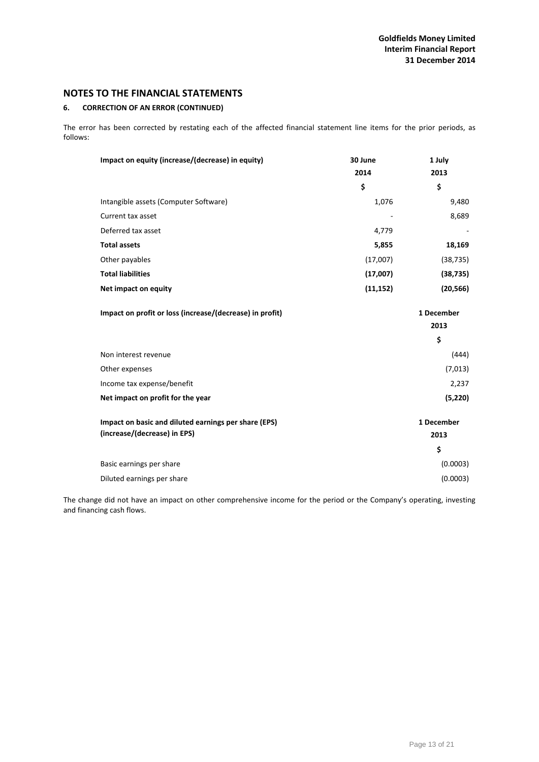## **6. CORRECTION OF AN ERROR (CONTINUED)**

The error has been corrected by restating each of the affected financial statement line items for the prior periods, as follows:

| Impact on equity (increase/(decrease) in equity)         | 30 June   | 1 July     |
|----------------------------------------------------------|-----------|------------|
|                                                          | 2014      | 2013       |
|                                                          | \$        | \$         |
| Intangible assets (Computer Software)                    | 1,076     | 9,480      |
| Current tax asset                                        |           | 8,689      |
| Deferred tax asset                                       | 4,779     |            |
| <b>Total assets</b>                                      | 5,855     | 18,169     |
| Other payables                                           | (17,007)  | (38, 735)  |
| <b>Total liabilities</b>                                 | (17,007)  | (38, 735)  |
| Net impact on equity                                     | (11, 152) | (20, 566)  |
| Impact on profit or loss (increase/(decrease) in profit) |           | 1 December |
|                                                          |           | 2013       |
|                                                          |           | \$         |
| Non interest revenue                                     |           | (444)      |
| Other expenses                                           |           | (7,013)    |
| Income tax expense/benefit                               |           | 2,237      |
| Net impact on profit for the year                        |           | (5, 220)   |
| Impact on basic and diluted earnings per share (EPS)     |           | 1 December |
| (increase/(decrease) in EPS)                             |           | 2013       |
|                                                          |           | \$         |
| Basic earnings per share                                 |           | (0.0003)   |
| Diluted earnings per share                               |           | (0.0003)   |

The change did not have an impact on other comprehensive income for the period or the Company's operating, investing and financing cash flows.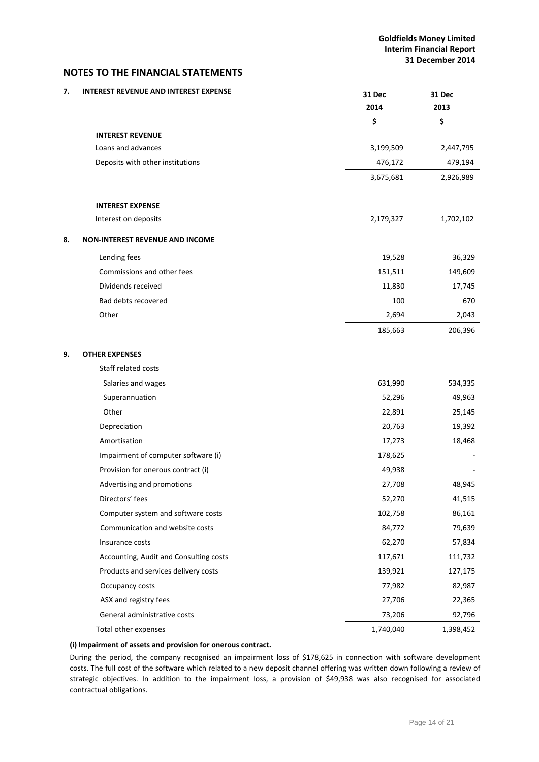| 7. | <b>INTEREST REVENUE AND INTEREST EXPENSE</b> | <b>31 Dec</b><br>2014 | 31 Dec<br>2013 |
|----|----------------------------------------------|-----------------------|----------------|
|    |                                              | \$                    | \$             |
|    | <b>INTEREST REVENUE</b>                      |                       |                |
|    | Loans and advances                           | 3,199,509             | 2,447,795      |
|    | Deposits with other institutions             | 476,172               | 479,194        |
|    |                                              | 3,675,681             | 2,926,989      |
|    |                                              |                       |                |
|    | <b>INTEREST EXPENSE</b>                      |                       |                |
|    | Interest on deposits                         | 2,179,327             | 1,702,102      |
| 8. | <b>NON-INTEREST REVENUE AND INCOME</b>       |                       |                |
|    | Lending fees                                 | 19,528                | 36,329         |
|    | Commissions and other fees                   | 151,511               | 149,609        |
|    | Dividends received                           | 11,830                | 17,745         |
|    | Bad debts recovered                          | 100                   | 670            |
|    | Other                                        | 2,694                 | 2,043          |
|    |                                              | 185,663               | 206,396        |
|    |                                              |                       |                |
| 9. | <b>OTHER EXPENSES</b>                        |                       |                |
|    | Staff related costs                          |                       |                |
|    | Salaries and wages                           | 631,990               | 534,335        |
|    | Superannuation                               | 52,296                | 49,963         |
|    | Other                                        | 22,891                | 25,145         |
|    | Depreciation                                 | 20,763                | 19,392         |
|    | Amortisation                                 | 17,273                | 18,468         |
|    | Impairment of computer software (i)          | 178,625               |                |
|    | Provision for onerous contract (i)           | 49,938                |                |
|    | Advertising and promotions                   | 27,708                | 48,945         |
|    | Directors' fees                              | 52,270                | 41,515         |
|    | Computer system and software costs           | 102,758               | 86,161         |
|    | Communication and website costs              | 84,772                | 79,639         |
|    | Insurance costs                              | 62,270                | 57,834         |
|    | Accounting, Audit and Consulting costs       | 117,671               | 111,732        |
|    | Products and services delivery costs         | 139,921               | 127,175        |
|    | Occupancy costs                              | 77,982                | 82,987         |
|    | ASX and registry fees                        | 27,706                | 22,365         |
|    | General administrative costs                 | 73,206                | 92,796         |
|    | Total other expenses                         | 1,740,040             | 1,398,452      |

## **(i) Impairment of assets and provision for onerous contract.**

During the period, the company recognised an impairment loss of \$178,625 in connection with software development costs. The full cost of the software which related to a new deposit channel offering was written down following a review of strategic objectives. In addition to the impairment loss, a provision of \$49,938 was also recognised for associated contractual obligations.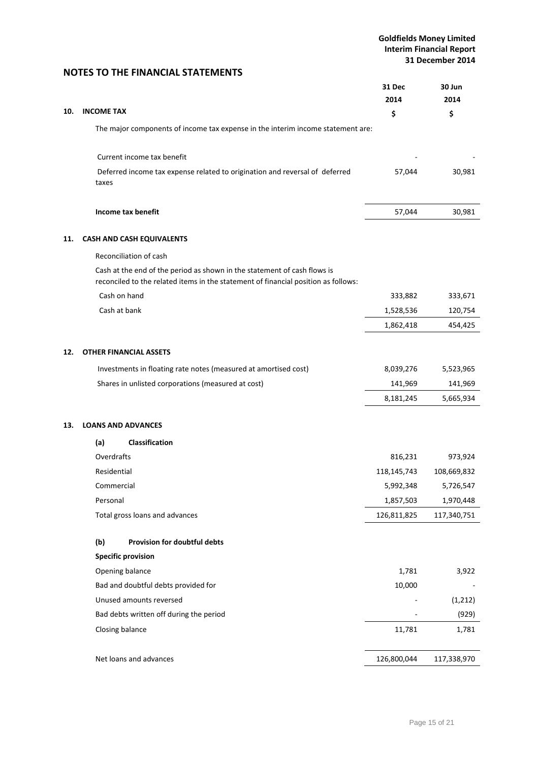|     |                                                                                                                                                                | <b>31 Dec</b><br>2014 | 30 Jun<br>2014 |
|-----|----------------------------------------------------------------------------------------------------------------------------------------------------------------|-----------------------|----------------|
| 10. | <b>INCOME TAX</b>                                                                                                                                              | \$                    | \$             |
|     | The major components of income tax expense in the interim income statement are:                                                                                |                       |                |
|     | Current income tax benefit                                                                                                                                     |                       |                |
|     | Deferred income tax expense related to origination and reversal of deferred<br>taxes                                                                           | 57,044                | 30,981         |
|     | Income tax benefit                                                                                                                                             | 57,044                | 30,981         |
| 11. | CASH AND CASH EQUIVALENTS                                                                                                                                      |                       |                |
|     | Reconciliation of cash                                                                                                                                         |                       |                |
|     | Cash at the end of the period as shown in the statement of cash flows is<br>reconciled to the related items in the statement of financial position as follows: |                       |                |
|     | Cash on hand                                                                                                                                                   | 333,882               | 333,671        |
|     | Cash at bank                                                                                                                                                   | 1,528,536             | 120,754        |
|     |                                                                                                                                                                | 1,862,418             | 454,425        |
| 12. | <b>OTHER FINANCIAL ASSETS</b>                                                                                                                                  |                       |                |
|     | Investments in floating rate notes (measured at amortised cost)                                                                                                | 8,039,276             | 5,523,965      |
|     | Shares in unlisted corporations (measured at cost)                                                                                                             | 141,969               | 141,969        |
|     |                                                                                                                                                                | 8,181,245             | 5,665,934      |
| 13. | <b>LOANS AND ADVANCES</b>                                                                                                                                      |                       |                |
|     | <b>Classification</b><br>(a)                                                                                                                                   |                       |                |
|     | Overdrafts                                                                                                                                                     | 816,231               | 973,924        |
|     | Residential                                                                                                                                                    | 118,145,743           | 108,669,832    |
|     | Commercial                                                                                                                                                     | 5,992,348             | 5,726,547      |
|     | Personal                                                                                                                                                       | 1,857,503             | 1,970,448      |
|     | Total gross loans and advances                                                                                                                                 | 126,811,825           | 117,340,751    |
|     | (b)<br>Provision for doubtful debts                                                                                                                            |                       |                |
|     | <b>Specific provision</b>                                                                                                                                      |                       |                |
|     | Opening balance                                                                                                                                                | 1,781                 | 3,922          |
|     | Bad and doubtful debts provided for                                                                                                                            | 10,000                |                |
|     | Unused amounts reversed                                                                                                                                        |                       | (1, 212)       |
|     | Bad debts written off during the period                                                                                                                        |                       | (929)          |
|     | Closing balance                                                                                                                                                | 11,781                | 1,781          |
|     | Net loans and advances                                                                                                                                         | 126,800,044           | 117,338,970    |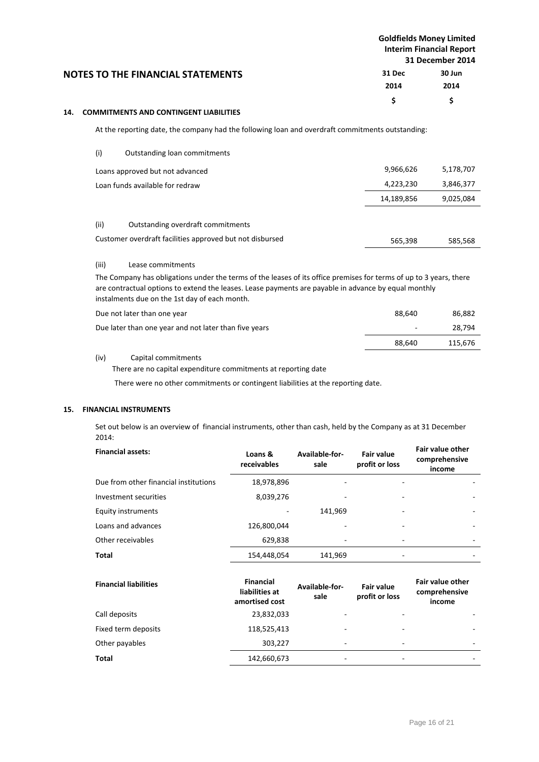|     |       |                                                                                                                                                                                                                                                                             | <b>Goldfields Money Limited</b><br><b>Interim Financial Report</b><br>31 December 2014 |           |
|-----|-------|-----------------------------------------------------------------------------------------------------------------------------------------------------------------------------------------------------------------------------------------------------------------------------|----------------------------------------------------------------------------------------|-----------|
|     |       | <b>NOTES TO THE FINANCIAL STATEMENTS</b>                                                                                                                                                                                                                                    | 31 Dec                                                                                 | 30 Jun    |
|     |       |                                                                                                                                                                                                                                                                             | 2014                                                                                   | 2014      |
|     |       |                                                                                                                                                                                                                                                                             | \$                                                                                     | \$        |
| 14. |       | <b>COMMITMENTS AND CONTINGENT LIABILITIES</b>                                                                                                                                                                                                                               |                                                                                        |           |
|     |       | At the reporting date, the company had the following loan and overdraft commitments outstanding:                                                                                                                                                                            |                                                                                        |           |
|     | (i)   | Outstanding loan commitments                                                                                                                                                                                                                                                |                                                                                        |           |
|     |       | Loans approved but not advanced                                                                                                                                                                                                                                             | 9,966,626                                                                              | 5,178,707 |
|     |       | Loan funds available for redraw                                                                                                                                                                                                                                             | 4,223,230                                                                              | 3,846,377 |
|     |       |                                                                                                                                                                                                                                                                             | 14,189,856                                                                             | 9,025,084 |
|     | (ii)  | Outstanding overdraft commitments                                                                                                                                                                                                                                           |                                                                                        |           |
|     |       | Customer overdraft facilities approved but not disbursed                                                                                                                                                                                                                    | 565,398                                                                                | 585,568   |
|     | (iii) | Lease commitments                                                                                                                                                                                                                                                           |                                                                                        |           |
|     |       | The Company has obligations under the terms of the leases of its office premises for terms of up to 3 years, there<br>are contractual options to extend the leases. Lease payments are payable in advance by equal monthly<br>instalments due on the 1st day of each month. |                                                                                        |           |

| Due not later than one year                           | 88.640 | 86,882  |
|-------------------------------------------------------|--------|---------|
| Due later than one year and not later than five years | ٠      | 28.794  |
|                                                       | 88.640 | 115.676 |

## (iv) Capital commitments

There are no capital expenditure commitments at reporting date

There were no other commitments or contingent liabilities at the reporting date.

## **15. FINANCIAL INSTRUMENTS**

Set out below is an overview of financial instruments, other than cash, held by the Company as at 31 December 2014:

| <b>Financial assets:</b>              | Loans &<br>receivables | Available-for-<br>sale | <b>Fair value</b><br>profit or loss | Fair value other<br>comprehensive<br>income |
|---------------------------------------|------------------------|------------------------|-------------------------------------|---------------------------------------------|
| Due from other financial institutions | 18,978,896             |                        |                                     |                                             |
| Investment securities                 | 8,039,276              | ۰                      |                                     |                                             |
| <b>Equity instruments</b>             |                        | 141,969                | ۰                                   | ۰                                           |
| Loans and advances                    | 126,800,044            | ٠                      |                                     |                                             |
| Other receivables                     | 629,838                |                        |                                     |                                             |
| Total                                 | 154,448,054            | 141,969                |                                     |                                             |
|                                       |                        |                        |                                     |                                             |

| <b>Financial liabilities</b> | <b>Financial</b><br>liabilities at<br>amortised cost | Available-for-<br>sale   | <b>Fair value</b><br>profit or loss | <b>Fair value other</b><br>comprehensive<br>income |
|------------------------------|------------------------------------------------------|--------------------------|-------------------------------------|----------------------------------------------------|
| Call deposits                | 23,832,033                                           | $\overline{\phantom{a}}$ |                                     |                                                    |
| Fixed term deposits          | 118,525,413                                          | $\overline{\phantom{a}}$ | ۰                                   | ۰                                                  |
| Other payables               | 303,227                                              | $\overline{\phantom{a}}$ | ۰                                   | ۰                                                  |
| <b>Total</b>                 | 142,660,673                                          | $\overline{\phantom{a}}$ | ۰                                   | ۰                                                  |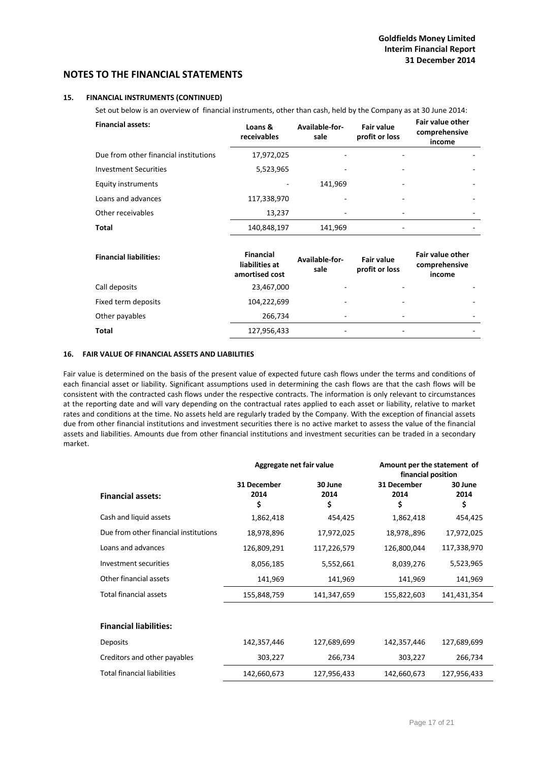#### **15. FINANCIAL INSTRUMENTS (CONTINUED)**

Set out below is an overview of financial instruments, other than cash, held by the Company as at 30 June 2014:

| <b>Financial assets:</b>              | Loans &<br>receivables | Available-for-<br>sale | <b>Fair value</b><br>profit or loss | <b>Fair value other</b><br>comprehensive<br>income |
|---------------------------------------|------------------------|------------------------|-------------------------------------|----------------------------------------------------|
| Due from other financial institutions | 17,972,025             |                        |                                     |                                                    |
| <b>Investment Securities</b>          | 5,523,965              |                        |                                     |                                                    |
| Equity instruments                    |                        | 141,969                | ۰                                   |                                                    |
| Loans and advances                    | 117,338,970            |                        |                                     |                                                    |
| Other receivables                     | 13.237                 | -                      |                                     |                                                    |
| Total                                 | 140,848,197            | 141,969                |                                     |                                                    |
|                                       |                        |                        |                                     |                                                    |

| <b>Financial liabilities:</b> | <b>Financial</b><br>liabilities at<br>amortised cost | Available-for-<br>sale   | <b>Fair value</b><br>profit or loss | <b>Fair value other</b><br>comprehensive<br>income |
|-------------------------------|------------------------------------------------------|--------------------------|-------------------------------------|----------------------------------------------------|
| Call deposits                 | 23,467,000                                           | $\overline{\phantom{a}}$ |                                     |                                                    |
| Fixed term deposits           | 104,222,699                                          | $\overline{\phantom{a}}$ |                                     | ۰                                                  |
| Other payables                | 266,734                                              | ۰                        | ۰                                   | ۰                                                  |
| Total                         | 127,956,433                                          | $\overline{\phantom{a}}$ | $\overline{\phantom{a}}$            | -                                                  |

## **16. FAIR VALUE OF FINANCIAL ASSETS AND LIABILITIES**

Fair value is determined on the basis of the present value of expected future cash flows under the terms and conditions of each financial asset or liability. Significant assumptions used in determining the cash flows are that the cash flows will be consistent with the contracted cash flows under the respective contracts. The information is only relevant to circumstances at the reporting date and will vary depending on the contractual rates applied to each asset or liability, relative to market rates and conditions at the time. No assets held are regularly traded by the Company. With the exception of financial assets due from other financial institutions and investment securities there is no active market to assess the value of the financial assets and liabilities. Amounts due from other financial institutions and investment securities can be traded in a secondary market.

|                                       | Aggregate net fair value  |                       | Amount per the statement of<br>financial position |                       |
|---------------------------------------|---------------------------|-----------------------|---------------------------------------------------|-----------------------|
| <b>Financial assets:</b>              | 31 December<br>2014<br>\$ | 30 June<br>2014<br>\$ | 31 December<br>2014<br>\$                         | 30 June<br>2014<br>\$ |
| Cash and liquid assets                | 1,862,418                 | 454,425               | 1,862,418                                         | 454,425               |
| Due from other financial institutions | 18,978,896                | 17,972,025            | 18,978,,896                                       | 17,972,025            |
| Loans and advances                    | 126,809,291               | 117,226,579           | 126,800,044                                       | 117,338,970           |
| Investment securities                 | 8,056,185                 | 5,552,661             | 8,039,276                                         | 5,523,965             |
| Other financial assets                | 141,969                   | 141,969               | 141,969                                           | 141,969               |
| <b>Total financial assets</b>         | 155,848,759               | 141,347,659           | 155,822,603                                       | 141,431,354           |
|                                       |                           |                       |                                                   |                       |
| <b>Financial liabilities:</b>         |                           |                       |                                                   |                       |
| <b>Deposits</b>                       | 142,357,446               | 127,689,699           | 142,357,446                                       | 127,689,699           |
| Creditors and other payables          | 303,227                   | 266,734               | 303,227                                           | 266,734               |
| <b>Total financial liabilities</b>    | 142,660,673               | 127,956,433           | 142,660,673                                       | 127,956,433           |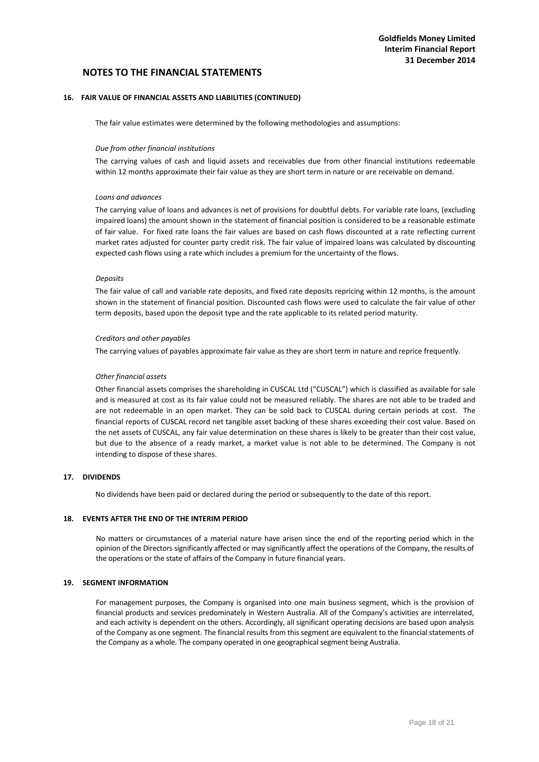#### **16. FAIR VALUE OF FINANCIAL ASSETS AND LIABILITIES (CONTINUED)**

The fair value estimates were determined by the following methodologies and assumptions:

#### *Due from other financial institutions*

The carrying values of cash and liquid assets and receivables due from other financial institutions redeemable within 12 months approximate their fair value as they are short term in nature or are receivable on demand.

#### *Loans and advances*

The carrying value of loans and advances is net of provisions for doubtful debts. For variable rate loans, (excluding impaired loans) the amount shown in the statement of financial position is considered to be a reasonable estimate of fair value. For fixed rate loans the fair values are based on cash flows discounted at a rate reflecting current market rates adjusted for counter party credit risk. The fair value of impaired loans was calculated by discounting expected cash flows using a rate which includes a premium for the uncertainty of the flows.

#### *Deposits*

The fair value of call and variable rate deposits, and fixed rate deposits repricing within 12 months, is the amount shown in the statement of financial position. Discounted cash flows were used to calculate the fair value of other term deposits, based upon the deposit type and the rate applicable to its related period maturity.

#### *Creditors and other payables*

The carrying values of payables approximate fair value as they are short term in nature and reprice frequently.

#### *Other financial assets*

Other financial assets comprises the shareholding in CUSCAL Ltd ("CUSCAL") which is classified as available for sale and is measured at cost as its fair value could not be measured reliably. The shares are not able to be traded and are not redeemable in an open market. They can be sold back to CUSCAL during certain periods at cost. The financial reports of CUSCAL record net tangible asset backing of these shares exceeding their cost value. Based on the net assets of CUSCAL, any fair value determination on these shares is likely to be greater than their cost value, but due to the absence of a ready market, a market value is not able to be determined. The Company is not intending to dispose of these shares.

# **17. DIVIDENDS**

No dividends have been paid or declared during the period or subsequently to the date of this report.

#### **18. EVENTS AFTER THE END OF THE INTERIM PERIOD**

No matters or circumstances of a material nature have arisen since the end of the reporting period which in the opinion of the Directors significantly affected or may significantly affect the operations of the Company, the results of the operations or the state of affairs of the Company in future financial years.

#### **19. SEGMENT INFORMATION**

For management purposes, the Company is organised into one main business segment, which is the provision of financial products and services predominately in Western Australia. All of the Company's activities are interrelated, and each activity is dependent on the others. Accordingly, all significant operating decisions are based upon analysis of the Company as one segment. The financial results from this segment are equivalent to the financial statements of the Company as a whole. The company operated in one geographical segment being Australia.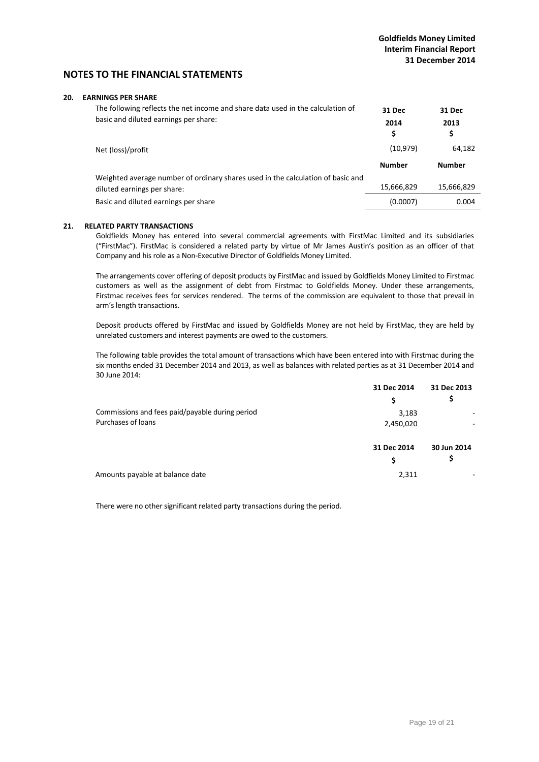#### **20. EARNINGS PER SHARE**

| The following reflects the net income and share data used in the calculation of<br>basic and diluted earnings per share: | 31 Dec<br>2014<br>\$ | 31 Dec<br>2013<br>\$ |
|--------------------------------------------------------------------------------------------------------------------------|----------------------|----------------------|
| Net (loss)/profit                                                                                                        | (10, 979)            | 64,182               |
|                                                                                                                          | <b>Number</b>        | <b>Number</b>        |
| Weighted average number of ordinary shares used in the calculation of basic and                                          |                      |                      |
| diluted earnings per share:                                                                                              | 15,666,829           | 15,666,829           |
| Basic and diluted earnings per share                                                                                     | (0.0007)             | 0.004                |

#### **21. RELATED PARTY TRANSACTIONS**

Goldfields Money has entered into several commercial agreements with FirstMac Limited and its subsidiaries ("FirstMac"). FirstMac is considered a related party by virtue of Mr James Austin's position as an officer of that Company and his role as a Non‐Executive Director of Goldfields Money Limited.

The arrangements cover offering of deposit products by FirstMac and issued by Goldfields Money Limited to Firstmac customers as well as the assignment of debt from Firstmac to Goldfields Money. Under these arrangements, Firstmac receives fees for services rendered. The terms of the commission are equivalent to those that prevail in arm's length transactions.

Deposit products offered by FirstMac and issued by Goldfields Money are not held by FirstMac, they are held by unrelated customers and interest payments are owed to the customers.

The following table provides the total amount of transactions which have been entered into with Firstmac during the six months ended 31 December 2014 and 2013, as well as balances with related parties as at 31 December 2014 and 30 June 2014:

|                                                 | 31 Dec 2014 | 31 Dec 2013 |
|-------------------------------------------------|-------------|-------------|
|                                                 | \$          | Ş           |
| Commissions and fees paid/payable during period | 3,183       |             |
| Purchases of loans                              | 2,450,020   | ۰           |
|                                                 | 31 Dec 2014 | 30 Jun 2014 |
|                                                 | \$          | \$          |
| Amounts payable at balance date                 | 2,311       | ۰           |

There were no other significant related party transactions during the period.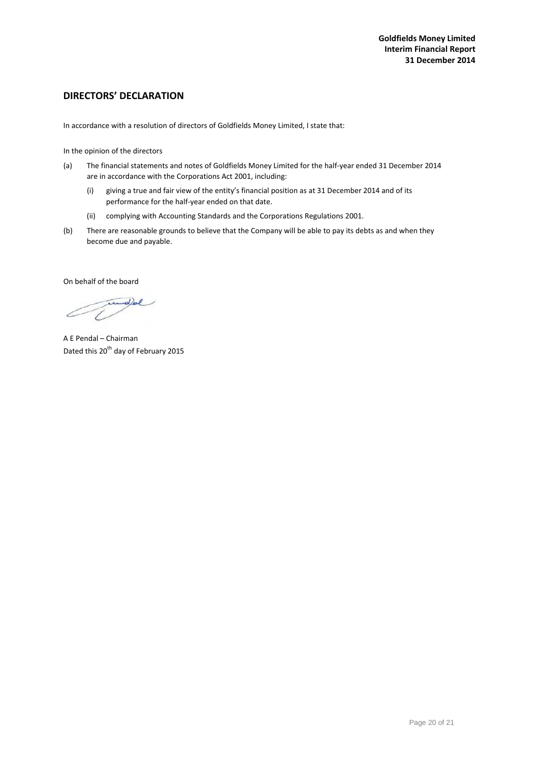# **DIRECTORS' DECLARATION**

In accordance with a resolution of directors of Goldfields Money Limited, I state that:

In the opinion of the directors

- (a) The financial statements and notes of Goldfields Money Limited for the half‐year ended 31 December 2014 are in accordance with the Corporations Act 2001, including:
	- (i) giving a true and fair view of the entity's financial position as at 31 December 2014 and of its performance for the half‐year ended on that date.
	- (ii) complying with Accounting Standards and the Corporations Regulations 2001.
- (b) There are reasonable grounds to believe that the Company will be able to pay its debts as and when they become due and payable.

On behalf of the board

dol

A E Pendal – Chairman Dated this 20<sup>th</sup> day of February 2015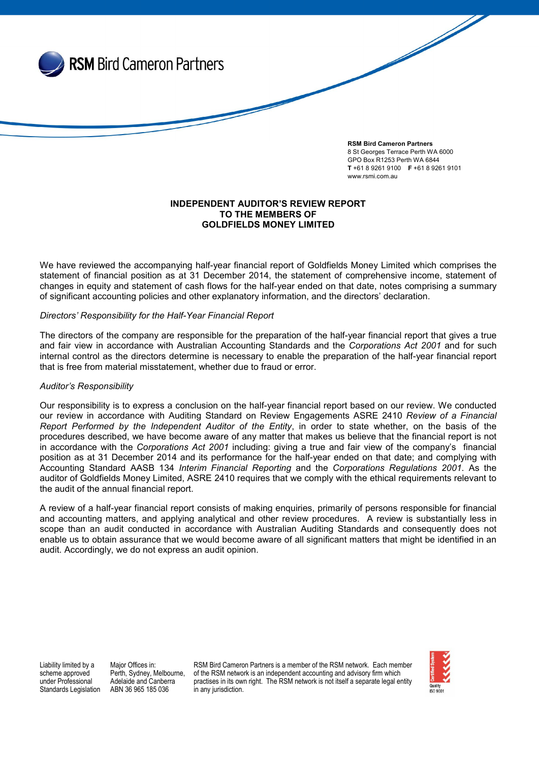

## INDEPENDENT AUDITOR'S REVIEW REPORT TO THE MEMBERS OF GOLDFIELDS MONEY LIMITED

We have reviewed the accompanying half-year financial report of Goldfields Money Limited which comprises the statement of financial position as at 31 December 2014, the statement of comprehensive income, statement of changes in equity and statement of cash flows for the half-year ended on that date, notes comprising a summary of significant accounting policies and other explanatory information, and the directors' declaration.

## *Directors' Responsibility for the Half-Year Financial Report*

The directors of the company are responsible for the preparation of the half-year financial report that gives a true and fair view in accordance with Australian Accounting Standards and the *Corporations Act 2001* and for such internal control as the directors determine is necessary to enable the preparation of the half-year financial report that is free from material misstatement, whether due to fraud or error.

## *Auditor's Responsibility*

Our responsibility is to express a conclusion on the half-year financial report based on our review. We conducted our review in accordance with Auditing Standard on Review Engagements ASRE 2410 *Review of a Financial Report Performed by the Independent Auditor of the Entity*, in order to state whether, on the basis of the procedures described, we have become aware of any matter that makes us believe that the financial report is not in accordance with the *Corporations Act 2001* including: giving a true and fair view of the company's financial position as at 31 December 2014 and its performance for the half-year ended on that date; and complying with Accounting Standard AASB 134 *Interim Financial Reporting* and the *Corporations Regulations 2001*. As the auditor of Goldfields Money Limited, ASRE 2410 requires that we comply with the ethical requirements relevant to the audit of the annual financial report.

A review of a half-year financial report consists of making enquiries, primarily of persons responsible for financial and accounting matters, and applying analytical and other review procedures. A review is substantially less in scope than an audit conducted in accordance with Australian Auditing Standards and consequently does not enable us to obtain assurance that we would become aware of all significant matters that might be identified in an audit. Accordingly, we do not express an audit opinion.

Liability limited by a scheme approved under Professional Standards Legislation Major Offices in: Perth, Sydney, Melbourne, Adelaide and Canberra ABN 36 965 185 036

RSM Bird Cameron Partners is a member of the RSM network. Each member of the RSM network is an independent accounting and advisory firm which practises in its own right. The RSM network is not itself a separate legal entity in any jurisdiction.